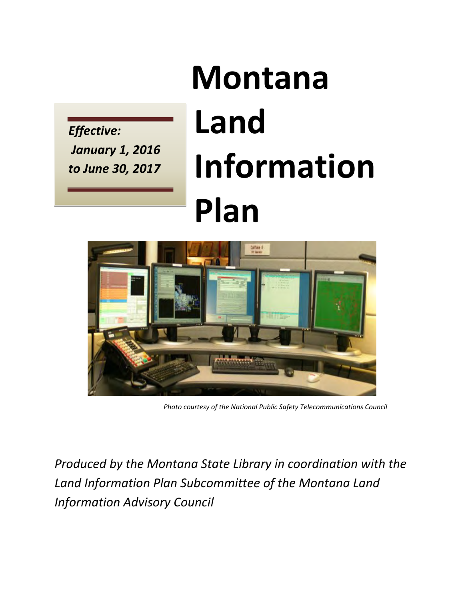*Effective: January 1, 2016 to June 30, 2017* 

# **Montana Land Information Plan**



*Photo courtesy of the National Public Safety Telecommunications Council*

*Produced by the Montana State Library in coordination with the Land Information Plan Subcommittee of the Montana Land Information Advisory Council*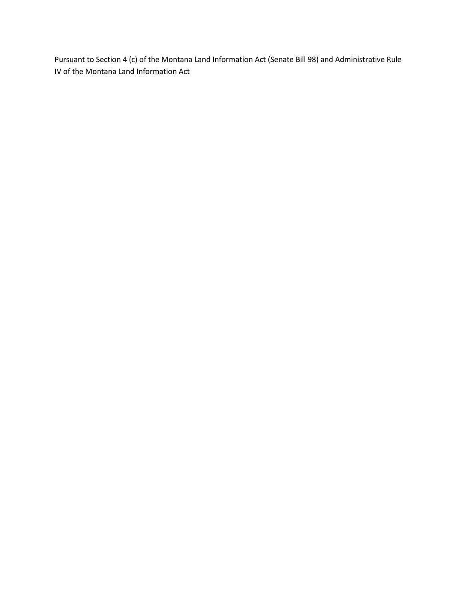Pursuant to Section 4 (c) of the Montana Land Information Act (Senate Bill 98) and Administrative Rule IV of the Montana Land Information Act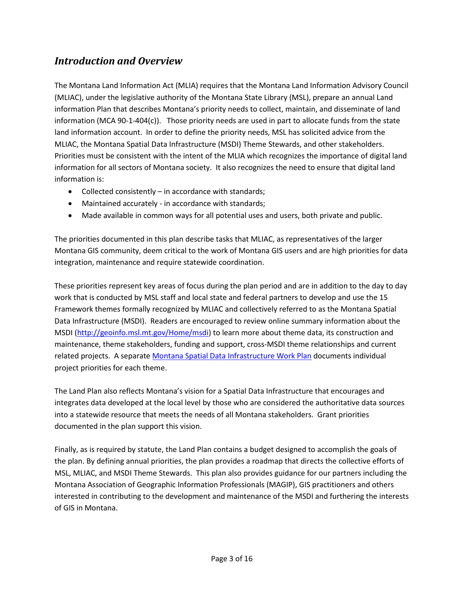## *Introduction and Overview*

The Montana Land Information Act (MLIA) requires that the Montana Land Information Advisory Council (MLIAC), under the legislative authority of the Montana State Library (MSL), prepare an annual Land information Plan that describes Montana's priority needs to collect, maintain, and disseminate of land information (MCA 90-1-404(c)). Those priority needs are used in part to allocate funds from the state land information account. In order to define the priority needs, MSL has solicited advice from the MLIAC, the Montana Spatial Data Infrastructure (MSDI) Theme Stewards, and other stakeholders. Priorities must be consistent with the intent of the MLIA which recognizes the importance of digital land information for all sectors of Montana society. It also recognizes the need to ensure that digital land information is:

- Collected consistently in accordance with standards;
- Maintained accurately in accordance with standards;
- Made available in common ways for all potential uses and users, both private and public.

The priorities documented in this plan describe tasks that MLIAC, as representatives of the larger Montana GIS community, deem critical to the work of Montana GIS users and are high priorities for data integration, maintenance and require statewide coordination.

These priorities represent key areas of focus during the plan period and are in addition to the day to day work that is conducted by MSL staff and local state and federal partners to develop and use the 15 Framework themes formally recognized by MLIAC and collectively referred to as the Montana Spatial Data Infrastructure (MSDI). Readers are encouraged to review online summary information about the MSDI [\(http://geoinfo.msl.mt.gov/Home/msdi\)](http://geoinfo.msl.mt.gov/Home/msdi) to learn more about theme data, its construction and maintenance, theme stakeholders, funding and support, cross-MSDI theme relationships and current related projects. A separate [Montana Spatial Data Infrastructure Work Plan](http://docs.msl.mt.gov/Central_Services/Commission_Councils/Commission/Archive/2015/10/msdi_work_plan.pdf) documents individual project priorities for each theme.

The Land Plan also reflects Montana's vision for a Spatial Data Infrastructure that encourages and integrates data developed at the local level by those who are considered the authoritative data sources into a statewide resource that meets the needs of all Montana stakeholders. Grant priorities documented in the plan support this vision.

Finally, as is required by statute, the Land Plan contains a budget designed to accomplish the goals of the plan. By defining annual priorities, the plan provides a roadmap that directs the collective efforts of MSL, MLIAC, and MSDI Theme Stewards. This plan also provides guidance for our partners including the Montana Association of Geographic Information Professionals (MAGIP), GIS practitioners and others interested in contributing to the development and maintenance of the MSDI and furthering the interests of GIS in Montana.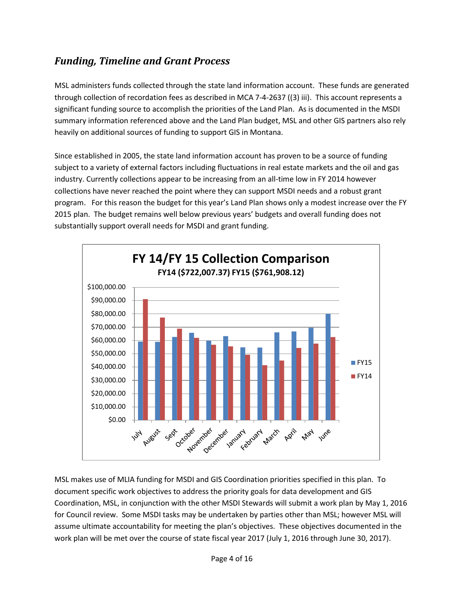# *Funding, Timeline and Grant Process*

MSL administers funds collected through the state land information account. These funds are generated through collection of recordation fees as described in MCA 7-4-2637 ((3) iii). This account represents a significant funding source to accomplish the priorities of the Land Plan. As is documented in the MSDI summary information referenced above and the Land Plan budget, MSL and other GIS partners also rely heavily on additional sources of funding to support GIS in Montana.

Since established in 2005, the state land information account has proven to be a source of funding subject to a variety of external factors including fluctuations in real estate markets and the oil and gas industry. Currently collections appear to be increasing from an all-time low in FY 2014 however collections have never reached the point where they can support MSDI needs and a robust grant program. For this reason the budget for this year's Land Plan shows only a modest increase over the FY 2015 plan. The budget remains well below previous years' budgets and overall funding does not substantially support overall needs for MSDI and grant funding.



MSL makes use of MLIA funding for MSDI and GIS Coordination priorities specified in this plan. To document specific work objectives to address the priority goals for data development and GIS Coordination, MSL, in conjunction with the other MSDI Stewards will submit a work plan by May 1, 2016 for Council review. Some MSDI tasks may be undertaken by parties other than MSL; however MSL will assume ultimate accountability for meeting the plan's objectives. These objectives documented in the work plan will be met over the course of state fiscal year 2017 (July 1, 2016 through June 30, 2017).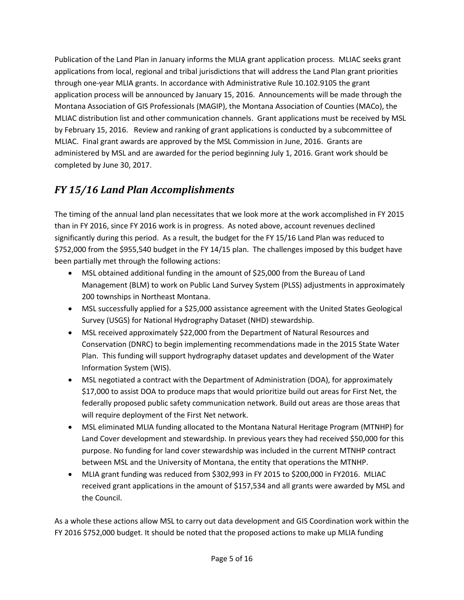Publication of the Land Plan in January informs the MLIA grant application process. MLIAC seeks grant applications from local, regional and tribal jurisdictions that will address the Land Plan grant priorities through one-year MLIA grants. In accordance with Administrative Rule 10.102.9105 the grant application process will be announced by January 15, 2016. Announcements will be made through the Montana Association of GIS Professionals (MAGIP), the Montana Association of Counties (MACo), the MLIAC distribution list and other communication channels. Grant applications must be received by MSL by February 15, 2016. Review and ranking of grant applications is conducted by a subcommittee of MLIAC. Final grant awards are approved by the MSL Commission in June, 2016. Grants are administered by MSL and are awarded for the period beginning July 1, 2016. Grant work should be completed by June 30, 2017.

# *FY 15/16 Land Plan Accomplishments*

The timing of the annual land plan necessitates that we look more at the work accomplished in FY 2015 than in FY 2016, since FY 2016 work is in progress. As noted above, account revenues declined significantly during this period. As a result, the budget for the FY 15/16 Land Plan was reduced to \$752,000 from the \$955,540 budget in the FY 14/15 plan. The challenges imposed by this budget have been partially met through the following actions:

- MSL obtained additional funding in the amount of \$25,000 from the Bureau of Land Management (BLM) to work on Public Land Survey System (PLSS) adjustments in approximately 200 townships in Northeast Montana.
- MSL successfully applied for a \$25,000 assistance agreement with the United States Geological Survey (USGS) for National Hydrography Dataset (NHD) stewardship.
- MSL received approximately \$22,000 from the Department of Natural Resources and Conservation (DNRC) to begin implementing recommendations made in the 2015 State Water Plan. This funding will support hydrography dataset updates and development of the Water Information System (WIS).
- MSL negotiated a contract with the Department of Administration (DOA), for approximately \$17,000 to assist DOA to produce maps that would prioritize build out areas for First Net, the federally proposed public safety communication network. Build out areas are those areas that will require deployment of the First Net network.
- MSL eliminated MLIA funding allocated to the Montana Natural Heritage Program (MTNHP) for Land Cover development and stewardship. In previous years they had received \$50,000 for this purpose. No funding for land cover stewardship was included in the current MTNHP contract between MSL and the University of Montana, the entity that operations the MTNHP.
- MLIA grant funding was reduced from \$302,993 in FY 2015 to \$200,000 in FY2016. MLIAC received grant applications in the amount of \$157,534 and all grants were awarded by MSL and the Council.

As a whole these actions allow MSL to carry out data development and GIS Coordination work within the FY 2016 \$752,000 budget. It should be noted that the proposed actions to make up MLIA funding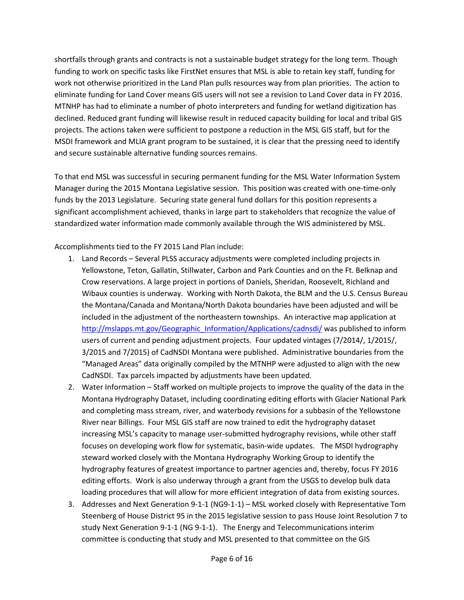shortfalls through grants and contracts is not a sustainable budget strategy for the long term. Though funding to work on specific tasks like FirstNet ensures that MSL is able to retain key staff, funding for work not otherwise prioritized in the Land Plan pulls resources way from plan priorities. The action to eliminate funding for Land Cover means GIS users will not see a revision to Land Cover data in FY 2016. MTNHP has had to eliminate a number of photo interpreters and funding for wetland digitization has declined. Reduced grant funding will likewise result in reduced capacity building for local and tribal GIS projects. The actions taken were sufficient to postpone a reduction in the MSL GIS staff, but for the MSDI framework and MLIA grant program to be sustained, it is clear that the pressing need to identify and secure sustainable alternative funding sources remains.

To that end MSL was successful in securing permanent funding for the MSL Water Information System Manager during the 2015 Montana Legislative session. This position was created with one-time-only funds by the 2013 Legislature. Securing state general fund dollars for this position represents a significant accomplishment achieved, thanks in large part to stakeholders that recognize the value of standardized water information made commonly available through the WIS administered by MSL.

Accomplishments tied to the FY 2015 Land Plan include:

- 1. Land Records Several PLSS accuracy adjustments were completed including projects in Yellowstone, Teton, Gallatin, Stillwater, Carbon and Park Counties and on the Ft. Belknap and Crow reservations. A large project in portions of Daniels, Sheridan, Roosevelt, Richland and Wibaux counties is underway. Working with North Dakota, the BLM and the U.S. Census Bureau the Montana/Canada and Montana/North Dakota boundaries have been adjusted and will be included in the adjustment of the northeastern townships. An interactive map application at [http://mslapps.mt.gov/Geographic\\_Information/Applications/cadnsdi/](http://mslapps.mt.gov/Geographic_Information/Applications/cadnsdi/) was published to inform users of current and pending adjustment projects. Four updated vintages (7/2014/, 1/2015/, 3/2015 and 7/2015) of CadNSDI Montana were published. Administrative boundaries from the "Managed Areas" data originally compiled by the MTNHP were adjusted to align with the new CadNSDI. Tax parcels impacted by adjustments have been updated.
- 2. Water Information Staff worked on multiple projects to improve the quality of the data in the Montana Hydrography Dataset, including coordinating editing efforts with Glacier National Park and completing mass stream, river, and waterbody revisions for a subbasin of the Yellowstone River near Billings. Four MSL GIS staff are now trained to edit the hydrography dataset increasing MSL's capacity to manage user-submitted hydrography revisions, while other staff focuses on developing work flow for systematic, basin-wide updates. The MSDI hydrography steward worked closely with the Montana Hydrography Working Group to identify the hydrography features of greatest importance to partner agencies and, thereby, focus FY 2016 editing efforts. Work is also underway through a grant from the USGS to develop bulk data loading procedures that will allow for more efficient integration of data from existing sources.
- 3. Addresses and Next Generation 9-1-1 (NG9-1-1) MSL worked closely with Representative Tom Steenberg of House District 95 in the 2015 legislative session to pass House Joint Resolution 7 to study Next Generation 9-1-1 (NG 9-1-1). The Energy and Telecommunications interim committee is conducting that study and MSL presented to that committee on the GIS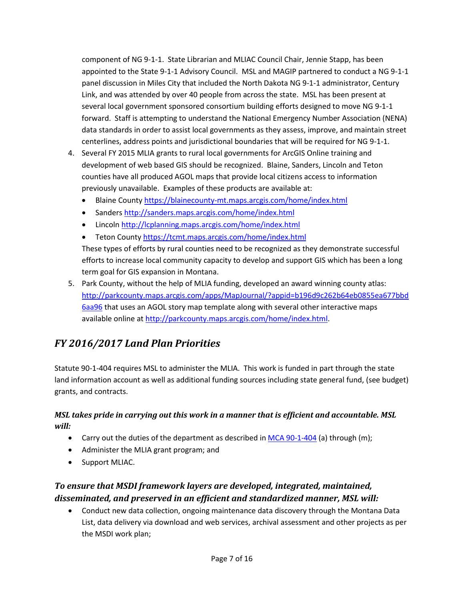component of NG 9-1-1. State Librarian and MLIAC Council Chair, Jennie Stapp, has been appointed to the State 9-1-1 Advisory Council. MSL and MAGIP partnered to conduct a NG 9-1-1 panel discussion in Miles City that included the North Dakota NG 9-1-1 administrator, Century Link, and was attended by over 40 people from across the state. MSL has been present at several local government sponsored consortium building efforts designed to move NG 9-1-1 forward. Staff is attempting to understand the National Emergency Number Association (NENA) data standards in order to assist local governments as they assess, improve, and maintain street centerlines, address points and jurisdictional boundaries that will be required for NG 9-1-1.

- 4. Several FY 2015 MLIA grants to rural local governments for ArcGIS Online training and development of web based GIS should be recognized. Blaine, Sanders, Lincoln and Teton counties have all produced AGOL maps that provide local citizens access to information previously unavailable. Examples of these products are available at:
	- Blaine County<https://blainecounty-mt.maps.arcgis.com/home/index.html>
	- Sanders http://sanders.maps.arcgis.com/home/index.html
	- Lincoln <http://lcplanning.maps.arcgis.com/home/index.html>
	- Teton County<https://tcmt.maps.arcgis.com/home/index.html>

These types of efforts by rural counties need to be recognized as they demonstrate successful efforts to increase local community capacity to develop and support GIS which has been a long term goal for GIS expansion in Montana.

5. Park County, without the help of MLIA funding, developed an award winning county atlas: [http://parkcounty.maps.arcgis.com/apps/MapJournal/?appid=b196d9c262b64eb0855ea677bbd](http://parkcounty.maps.arcgis.com/apps/MapJournal/?appid=b196d9c262b64eb0855ea677bbd6aa96) [6aa96](http://parkcounty.maps.arcgis.com/apps/MapJournal/?appid=b196d9c262b64eb0855ea677bbd6aa96) that uses an AGOL story map template along with several other interactive maps available online at [http://parkcounty.maps.arcgis.com/home/index.html.](http://parkcounty.maps.arcgis.com/home/index.html)

# *FY 2016/2017 Land Plan Priorities*

Statute 90-1-404 requires MSL to administer the MLIA. This work is funded in part through the state land information account as well as additional funding sources including state general fund, (see budget) grants, and contracts.

#### *MSL takes pride in carrying out this work in a manner that is efficient and accountable. MSL will:*

- Carry out the duties of the department as described i[n MCA 90-1-404](http://data.opi.mt.gov/bills/mca/90/1/90-1-404.htm) (a) through (m);
- Administer the MLIA grant program; and
- Support MLIAC.

## *To ensure that MSDI framework layers are developed, integrated, maintained, disseminated, and preserved in an efficient and standardized manner, MSL will:*

• Conduct new data collection, ongoing maintenance data discovery through the Montana Data List, data delivery via download and web services, archival assessment and other projects as per the MSDI work plan;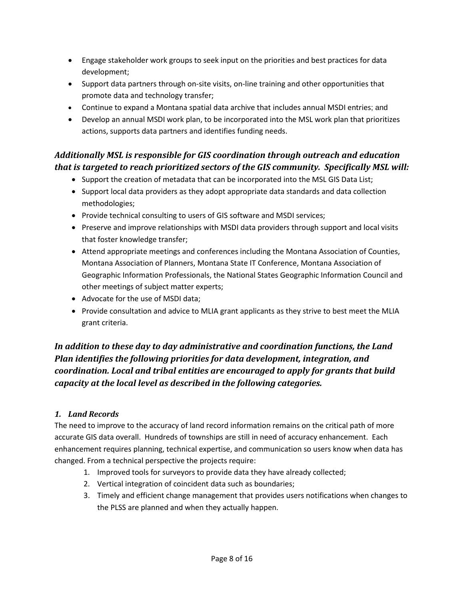- Engage stakeholder work groups to seek input on the priorities and best practices for data development;
- Support data partners through on-site visits, on-line training and other opportunities that promote data and technology transfer;
- Continue to expand a Montana spatial data archive that includes annual MSDI entries; and
- Develop an annual MSDI work plan, to be incorporated into the MSL work plan that prioritizes actions, supports data partners and identifies funding needs.

## *Additionally MSL is responsible for GIS coordination through outreach and education that is targeted to reach prioritized sectors of the GIS community. Specifically MSL will:*

- Support the creation of metadata that can be incorporated into the MSL GIS Data List;
- Support local data providers as they adopt appropriate data standards and data collection methodologies;
- Provide technical consulting to users of GIS software and MSDI services;
- Preserve and improve relationships with MSDI data providers through support and local visits that foster knowledge transfer;
- Attend appropriate meetings and conferences including the Montana Association of Counties, Montana Association of Planners, Montana State IT Conference, Montana Association of Geographic Information Professionals, the National States Geographic Information Council and other meetings of subject matter experts;
- Advocate for the use of MSDI data;
- Provide consultation and advice to MLIA grant applicants as they strive to best meet the MLIA grant criteria.

## *In addition to these day to day administrative and coordination functions, the Land Plan identifies the following priorities for data development, integration, and coordination. Local and tribal entities are encouraged to apply for grants that build capacity at the local level as described in the following categories.*

### *1. Land Records*

The need to improve to the accuracy of land record information remains on the critical path of more accurate GIS data overall. Hundreds of townships are still in need of accuracy enhancement. Each enhancement requires planning, technical expertise, and communication so users know when data has changed. From a technical perspective the projects require:

- 1. Improved tools for surveyors to provide data they have already collected;
- 2. Vertical integration of coincident data such as boundaries;
- 3. Timely and efficient change management that provides users notifications when changes to the PLSS are planned and when they actually happen.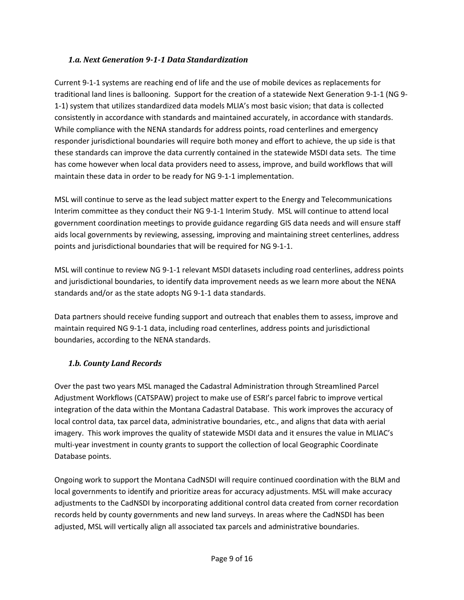#### *1.a. Next Generation 9-1-1 Data Standardization*

Current 9-1-1 systems are reaching end of life and the use of mobile devices as replacements for traditional land lines is ballooning. Support for the creation of a statewide Next Generation 9-1-1 (NG 9- 1-1) system that utilizes standardized data models MLIA's most basic vision; that data is collected consistently in accordance with standards and maintained accurately, in accordance with standards. While compliance with the NENA standards for address points, road centerlines and emergency responder jurisdictional boundaries will require both money and effort to achieve, the up side is that these standards can improve the data currently contained in the statewide MSDI data sets. The time has come however when local data providers need to assess, improve, and build workflows that will maintain these data in order to be ready for NG 9-1-1 implementation.

MSL will continue to serve as the lead subject matter expert to the Energy and Telecommunications Interim committee as they conduct their NG 9-1-1 Interim Study. MSL will continue to attend local government coordination meetings to provide guidance regarding GIS data needs and will ensure staff aids local governments by reviewing, assessing, improving and maintaining street centerlines, address points and jurisdictional boundaries that will be required for NG 9-1-1.

MSL will continue to review NG 9-1-1 relevant MSDI datasets including road centerlines, address points and jurisdictional boundaries, to identify data improvement needs as we learn more about the NENA standards and/or as the state adopts NG 9-1-1 data standards.

Data partners should receive funding support and outreach that enables them to assess, improve and maintain required NG 9-1-1 data, including road centerlines, address points and jurisdictional boundaries, according to the NENA standards.

#### *1.b. County Land Records*

Over the past two years MSL managed the Cadastral Administration through Streamlined Parcel Adjustment Workflows (CATSPAW) project to make use of ESRI's parcel fabric to improve vertical integration of the data within the Montana Cadastral Database. This work improves the accuracy of local control data, tax parcel data, administrative boundaries, etc., and aligns that data with aerial imagery. This work improves the quality of statewide MSDI data and it ensures the value in MLIAC's multi-year investment in county grants to support the collection of local Geographic Coordinate Database points.

Ongoing work to support the Montana CadNSDI will require continued coordination with the BLM and local governments to identify and prioritize areas for accuracy adjustments. MSL will make accuracy adjustments to the CadNSDI by incorporating additional control data created from corner recordation records held by county governments and new land surveys. In areas where the CadNSDI has been adjusted, MSL will vertically align all associated tax parcels and administrative boundaries.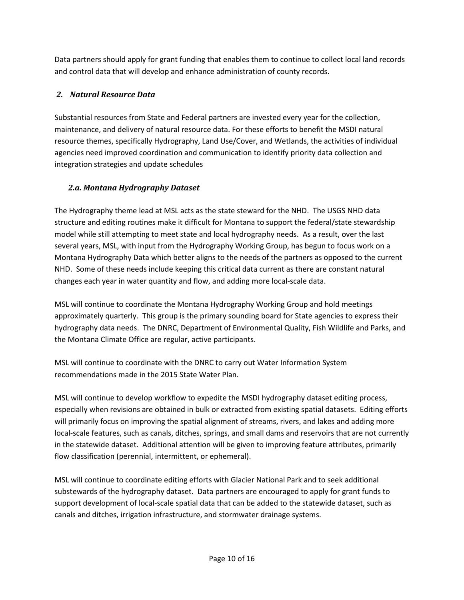Data partners should apply for grant funding that enables them to continue to collect local land records and control data that will develop and enhance administration of county records.

#### *2. Natural Resource Data*

Substantial resources from State and Federal partners are invested every year for the collection, maintenance, and delivery of natural resource data. For these efforts to benefit the MSDI natural resource themes, specifically Hydrography, Land Use/Cover, and Wetlands, the activities of individual agencies need improved coordination and communication to identify priority data collection and integration strategies and update schedules

#### *2.a. Montana Hydrography Dataset*

The Hydrography theme lead at MSL acts as the state steward for the NHD. The USGS NHD data structure and editing routines make it difficult for Montana to support the federal/state stewardship model while still attempting to meet state and local hydrography needs. As a result, over the last several years, MSL, with input from the Hydrography Working Group, has begun to focus work on a Montana Hydrography Data which better aligns to the needs of the partners as opposed to the current NHD. Some of these needs include keeping this critical data current as there are constant natural changes each year in water quantity and flow, and adding more local-scale data.

MSL will continue to coordinate the Montana Hydrography Working Group and hold meetings approximately quarterly. This group is the primary sounding board for State agencies to express their hydrography data needs. The DNRC, Department of Environmental Quality, Fish Wildlife and Parks, and the Montana Climate Office are regular, active participants.

MSL will continue to coordinate with the DNRC to carry out Water Information System recommendations made in the 2015 State Water Plan.

MSL will continue to develop workflow to expedite the MSDI hydrography dataset editing process, especially when revisions are obtained in bulk or extracted from existing spatial datasets. Editing efforts will primarily focus on improving the spatial alignment of streams, rivers, and lakes and adding more local-scale features, such as canals, ditches, springs, and small dams and reservoirs that are not currently in the statewide dataset. Additional attention will be given to improving feature attributes, primarily flow classification (perennial, intermittent, or ephemeral).

MSL will continue to coordinate editing efforts with Glacier National Park and to seek additional substewards of the hydrography dataset. Data partners are encouraged to apply for grant funds to support development of local-scale spatial data that can be added to the statewide dataset, such as canals and ditches, irrigation infrastructure, and stormwater drainage systems.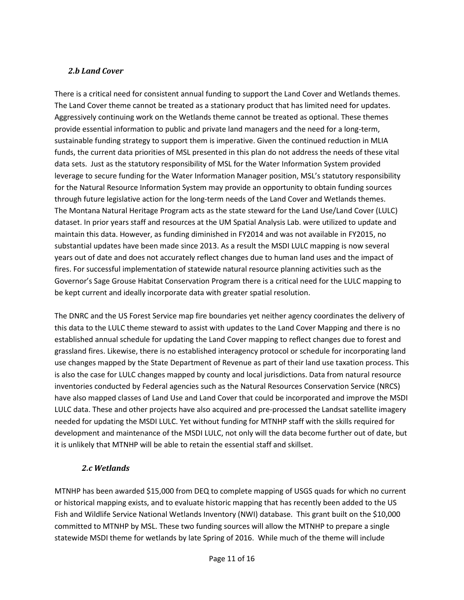#### *2.b Land Cover*

There is a critical need for consistent annual funding to support the Land Cover and Wetlands themes. The Land Cover theme cannot be treated as a stationary product that has limited need for updates. Aggressively continuing work on the Wetlands theme cannot be treated as optional. These themes provide essential information to public and private land managers and the need for a long-term, sustainable funding strategy to support them is imperative. Given the continued reduction in MLIA funds, the current data priorities of MSL presented in this plan do not address the needs of these vital data sets. Just as the statutory responsibility of MSL for the Water Information System provided leverage to secure funding for the Water Information Manager position, MSL's statutory responsibility for the Natural Resource Information System may provide an opportunity to obtain funding sources through future legislative action for the long-term needs of the Land Cover and Wetlands themes. The Montana Natural Heritage Program acts as the state steward for the Land Use/Land Cover (LULC) dataset. In prior years staff and resources at the UM Spatial Analysis Lab. were utilized to update and maintain this data. However, as funding diminished in FY2014 and was not available in FY2015, no substantial updates have been made since 2013. As a result the MSDI LULC mapping is now several years out of date and does not accurately reflect changes due to human land uses and the impact of fires. For successful implementation of statewide natural resource planning activities such as the Governor's Sage Grouse Habitat Conservation Program there is a critical need for the LULC mapping to be kept current and ideally incorporate data with greater spatial resolution.

The DNRC and the US Forest Service map fire boundaries yet neither agency coordinates the delivery of this data to the LULC theme steward to assist with updates to the Land Cover Mapping and there is no established annual schedule for updating the Land Cover mapping to reflect changes due to forest and grassland fires. Likewise, there is no established interagency protocol or schedule for incorporating land use changes mapped by the State Department of Revenue as part of their land use taxation process. This is also the case for LULC changes mapped by county and local jurisdictions. Data from natural resource inventories conducted by Federal agencies such as the Natural Resources Conservation Service (NRCS) have also mapped classes of Land Use and Land Cover that could be incorporated and improve the MSDI LULC data. These and other projects have also acquired and pre-processed the Landsat satellite imagery needed for updating the MSDI LULC. Yet without funding for MTNHP staff with the skills required for development and maintenance of the MSDI LULC, not only will the data become further out of date, but it is unlikely that MTNHP will be able to retain the essential staff and skillset.

#### *2.c Wetlands*

MTNHP has been awarded \$15,000 from DEQ to complete mapping of USGS quads for which no current or historical mapping exists, and to evaluate historic mapping that has recently been added to the US Fish and Wildlife Service National Wetlands Inventory (NWI) database. This grant built on the \$10,000 committed to MTNHP by MSL. These two funding sources will allow the MTNHP to prepare a single statewide MSDI theme for wetlands by late Spring of 2016. While much of the theme will include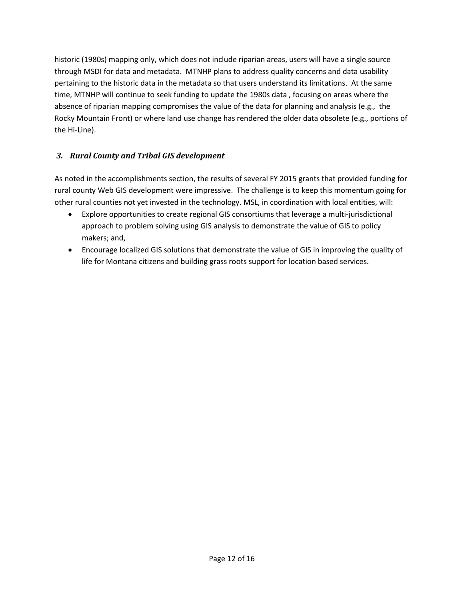historic (1980s) mapping only, which does not include riparian areas, users will have a single source through MSDI for data and metadata. MTNHP plans to address quality concerns and data usability pertaining to the historic data in the metadata so that users understand its limitations. At the same time, MTNHP will continue to seek funding to update the 1980s data , focusing on areas where the absence of riparian mapping compromises the value of the data for planning and analysis (e.g., the Rocky Mountain Front) or where land use change has rendered the older data obsolete (e.g., portions of the Hi-Line).

#### *3. Rural County and Tribal GIS development*

As noted in the accomplishments section, the results of several FY 2015 grants that provided funding for rural county Web GIS development were impressive. The challenge is to keep this momentum going for other rural counties not yet invested in the technology. MSL, in coordination with local entities, will:

- Explore opportunities to create regional GIS consortiums that leverage a multi-jurisdictional approach to problem solving using GIS analysis to demonstrate the value of GIS to policy makers; and,
- Encourage localized GIS solutions that demonstrate the value of GIS in improving the quality of life for Montana citizens and building grass roots support for location based services.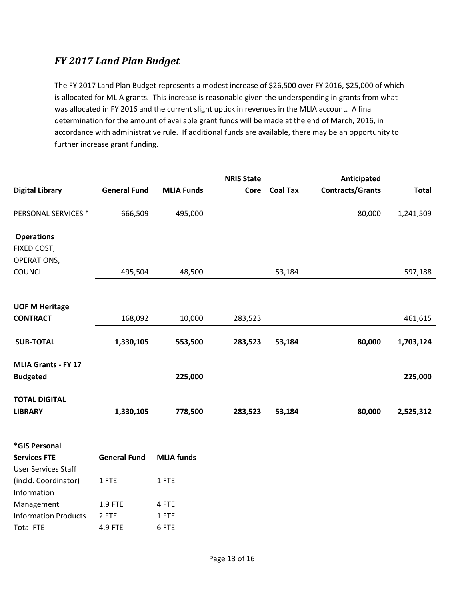## *FY 2017 Land Plan Budget*

The FY 2017 Land Plan Budget represents a modest increase of \$26,500 over FY 2016, \$25,000 of which is allocated for MLIA grants. This increase is reasonable given the underspending in grants from what was allocated in FY 2016 and the current slight uptick in revenues in the MLIA account. A final determination for the amount of available grant funds will be made at the end of March, 2016, in accordance with administrative rule. If additional funds are available, there may be an opportunity to further increase grant funding.

|                                                    |                     |                   | <b>NRIS State</b> |                 | Anticipated             |              |
|----------------------------------------------------|---------------------|-------------------|-------------------|-----------------|-------------------------|--------------|
| <b>Digital Library</b>                             | <b>General Fund</b> | <b>MLIA Funds</b> | Core              | <b>Coal Tax</b> | <b>Contracts/Grants</b> | <b>Total</b> |
| PERSONAL SERVICES *                                | 666,509             | 495,000           |                   |                 | 80,000                  | 1,241,509    |
| <b>Operations</b>                                  |                     |                   |                   |                 |                         |              |
| FIXED COST,<br>OPERATIONS,                         |                     |                   |                   |                 |                         |              |
| <b>COUNCIL</b>                                     | 495,504             | 48,500            |                   | 53,184          |                         | 597,188      |
| <b>UOF M Heritage</b>                              |                     |                   |                   |                 |                         |              |
| <b>CONTRACT</b>                                    | 168,092             | 10,000            | 283,523           |                 |                         | 461,615      |
| <b>SUB-TOTAL</b>                                   | 1,330,105           | 553,500           | 283,523           | 53,184          | 80,000                  | 1,703,124    |
| <b>MLIA Grants - FY 17</b>                         |                     |                   |                   |                 |                         |              |
| <b>Budgeted</b>                                    |                     | 225,000           |                   |                 |                         | 225,000      |
| <b>TOTAL DIGITAL</b>                               |                     |                   |                   |                 |                         |              |
| <b>LIBRARY</b>                                     | 1,330,105           | 778,500           | 283,523           | 53,184          | 80,000                  | 2,525,312    |
| *GIS Personal                                      |                     |                   |                   |                 |                         |              |
| <b>Services FTE</b>                                | <b>General Fund</b> | <b>MLIA</b> funds |                   |                 |                         |              |
| <b>User Services Staff</b><br>(incld. Coordinator) | 1 FTE               | 1 FTE             |                   |                 |                         |              |
| Information<br>$M$ 20200000+                       | 1 O ETE.            | A ETE.            |                   |                 |                         |              |

| Management           | <b>1.9 FTE</b> | 4 FTF |
|----------------------|----------------|-------|
| Information Products | 2 FTF          | 1 FTF |
| Total FTE            | 4.9 FTE        | 6 FTE |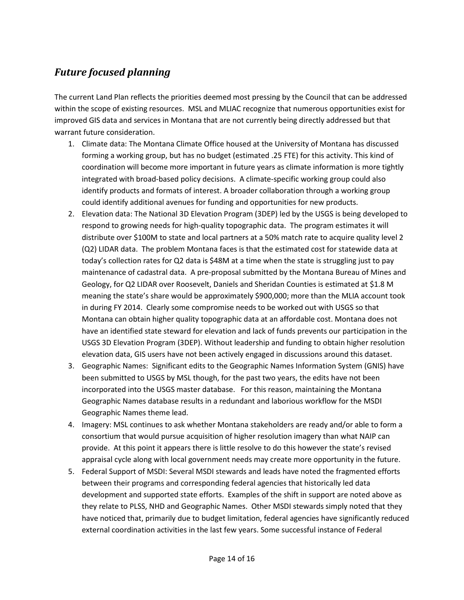# *Future focused planning*

The current Land Plan reflects the priorities deemed most pressing by the Council that can be addressed within the scope of existing resources. MSL and MLIAC recognize that numerous opportunities exist for improved GIS data and services in Montana that are not currently being directly addressed but that warrant future consideration.

- 1. Climate data: The Montana Climate Office housed at the University of Montana has discussed forming a working group, but has no budget (estimated .25 FTE) for this activity. This kind of coordination will become more important in future years as climate information is more tightly integrated with broad-based policy decisions. A climate-specific working group could also identify products and formats of interest. A broader collaboration through a working group could identify additional avenues for funding and opportunities for new products.
- 2. Elevation data: The National 3D Elevation Program (3DEP) led by the USGS is being developed to respond to growing needs for high-quality topographic data. The program estimates it will distribute over \$100M to state and local partners at a 50% match rate to acquire quality level 2 (Q2) LIDAR data. The problem Montana faces is that the estimated cost for statewide data at today's collection rates for Q2 data is \$48M at a time when the state is struggling just to pay maintenance of cadastral data. A pre-proposal submitted by the Montana Bureau of Mines and Geology, for Q2 LIDAR over Roosevelt, Daniels and Sheridan Counties is estimated at \$1.8 M meaning the state's share would be approximately \$900,000; more than the MLIA account took in during FY 2014. Clearly some compromise needs to be worked out with USGS so that Montana can obtain higher quality topographic data at an affordable cost. Montana does not have an identified state steward for elevation and lack of funds prevents our participation in the USGS 3D Elevation Program (3DEP). Without leadership and funding to obtain higher resolution elevation data, GIS users have not been actively engaged in discussions around this dataset.
- 3. Geographic Names: Significant edits to the Geographic Names Information System (GNIS) have been submitted to USGS by MSL though, for the past two years, the edits have not been incorporated into the USGS master database. For this reason, maintaining the Montana Geographic Names database results in a redundant and laborious workflow for the MSDI Geographic Names theme lead.
- 4. Imagery: MSL continues to ask whether Montana stakeholders are ready and/or able to form a consortium that would pursue acquisition of higher resolution imagery than what NAIP can provide. At this point it appears there is little resolve to do this however the state's revised appraisal cycle along with local government needs may create more opportunity in the future.
- 5. Federal Support of MSDI: Several MSDI stewards and leads have noted the fragmented efforts between their programs and corresponding federal agencies that historically led data development and supported state efforts. Examples of the shift in support are noted above as they relate to PLSS, NHD and Geographic Names. Other MSDI stewards simply noted that they have noticed that, primarily due to budget limitation, federal agencies have significantly reduced external coordination activities in the last few years. Some successful instance of Federal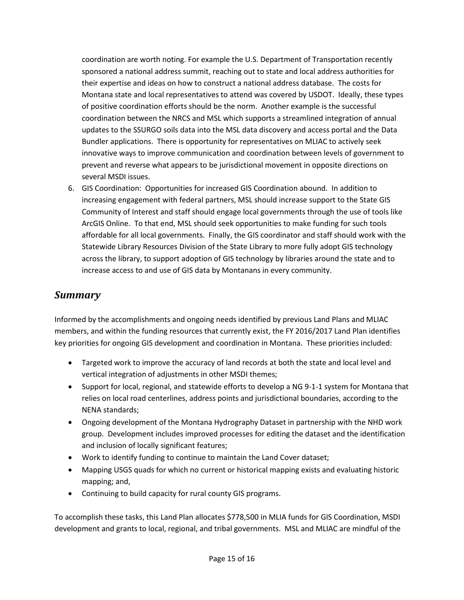coordination are worth noting. For example the U.S. Department of Transportation recently sponsored a national address summit, reaching out to state and local address authorities for their expertise and ideas on how to construct a national address database. The costs for Montana state and local representatives to attend was covered by USDOT. Ideally, these types of positive coordination efforts should be the norm. Another example is the successful coordination between the NRCS and MSL which supports a streamlined integration of annual updates to the SSURGO soils data into the MSL data discovery and access portal and the Data Bundler applications. There is opportunity for representatives on MLIAC to actively seek innovative ways to improve communication and coordination between levels of government to prevent and reverse what appears to be jurisdictional movement in opposite directions on several MSDI issues.

6. GIS Coordination: Opportunities for increased GIS Coordination abound. In addition to increasing engagement with federal partners, MSL should increase support to the State GIS Community of Interest and staff should engage local governments through the use of tools like ArcGIS Online. To that end, MSL should seek opportunities to make funding for such tools affordable for all local governments. Finally, the GIS coordinator and staff should work with the Statewide Library Resources Division of the State Library to more fully adopt GIS technology across the library, to support adoption of GIS technology by libraries around the state and to increase access to and use of GIS data by Montanans in every community.

## *Summary*

Informed by the accomplishments and ongoing needs identified by previous Land Plans and MLIAC members, and within the funding resources that currently exist, the FY 2016/2017 Land Plan identifies key priorities for ongoing GIS development and coordination in Montana. These priorities included:

- Targeted work to improve the accuracy of land records at both the state and local level and vertical integration of adjustments in other MSDI themes;
- Support for local, regional, and statewide efforts to develop a NG 9-1-1 system for Montana that relies on local road centerlines, address points and jurisdictional boundaries, according to the NENA standards;
- Ongoing development of the Montana Hydrography Dataset in partnership with the NHD work group. Development includes improved processes for editing the dataset and the identification and inclusion of locally significant features;
- Work to identify funding to continue to maintain the Land Cover dataset;
- Mapping USGS quads for which no current or historical mapping exists and evaluating historic mapping; and,
- Continuing to build capacity for rural county GIS programs.

To accomplish these tasks, this Land Plan allocates \$778,500 in MLIA funds for GIS Coordination, MSDI development and grants to local, regional, and tribal governments. MSL and MLIAC are mindful of the